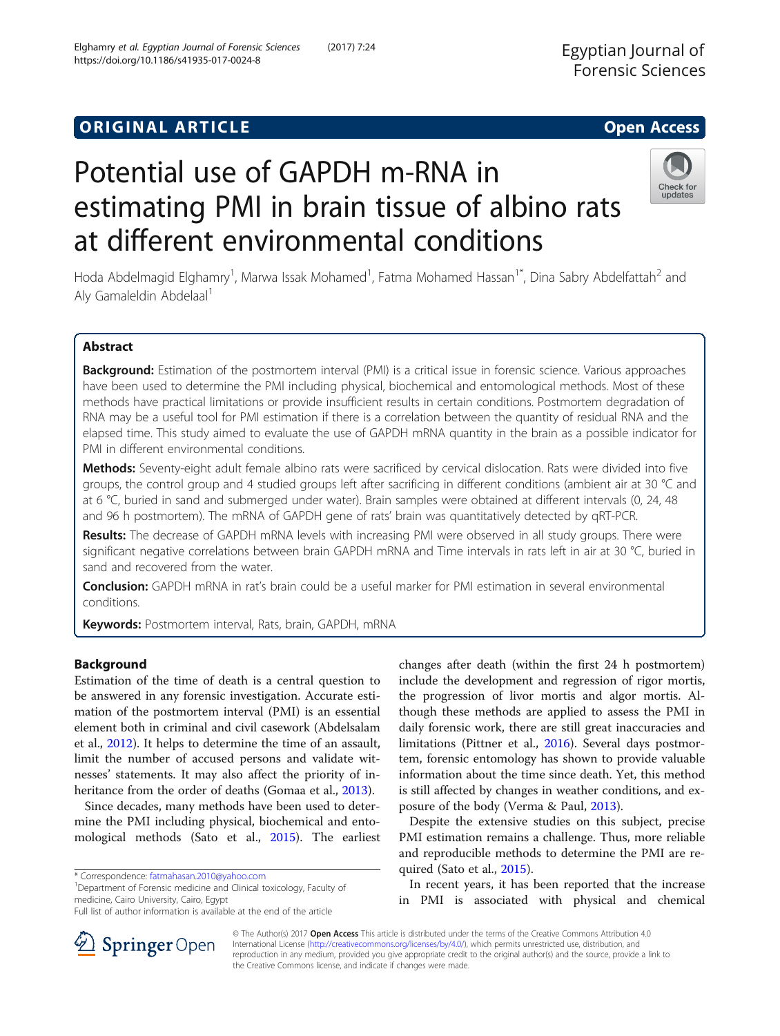# **ORIGINAL ARTICLE CONSERVANCE IN A LOCAL CONSERVANCE IN A LOCAL CONSERVANCE IN A LOCAL CONSERVANCE IN A LOCAL CONS**

# Potential use of GAPDH m-RNA in estimating PMI in brain tissue of albino rats at different environmental conditions

Hoda Abdelmagid Elghamry<sup>1</sup>, Marwa Issak Mohamed<sup>1</sup>, Fatma Mohamed Hassan<sup>1\*</sup>, Dina Sabry Abdelfattah<sup>2</sup> and Aly Gamaleldin Abdelaal<sup>1</sup>

# Abstract

Background: Estimation of the postmortem interval (PMI) is a critical issue in forensic science. Various approaches have been used to determine the PMI including physical, biochemical and entomological methods. Most of these methods have practical limitations or provide insufficient results in certain conditions. Postmortem degradation of RNA may be a useful tool for PMI estimation if there is a correlation between the quantity of residual RNA and the elapsed time. This study aimed to evaluate the use of GAPDH mRNA quantity in the brain as a possible indicator for PMI in different environmental conditions.

Methods: Seventy-eight adult female albino rats were sacrificed by cervical dislocation. Rats were divided into five groups, the control group and 4 studied groups left after sacrificing in different conditions (ambient air at 30 °C and at 6 °C, buried in sand and submerged under water). Brain samples were obtained at different intervals (0, 24, 48 and 96 h postmortem). The mRNA of GAPDH gene of rats' brain was quantitatively detected by qRT-PCR.

Results: The decrease of GAPDH mRNA levels with increasing PMI were observed in all study groups. There were significant negative correlations between brain GAPDH mRNA and Time intervals in rats left in air at 30 °C, buried in sand and recovered from the water.

Conclusion: GAPDH mRNA in rat's brain could be a useful marker for PMI estimation in several environmental conditions.

Keywords: Postmortem interval, Rats, brain, GAPDH, mRNA

# Background

Estimation of the time of death is a central question to be answered in any forensic investigation. Accurate estimation of the postmortem interval (PMI) is an essential element both in criminal and civil casework (Abdelsalam et al., [2012](#page-6-0)). It helps to determine the time of an assault, limit the number of accused persons and validate witnesses' statements. It may also affect the priority of in-heritance from the order of deaths (Gomaa et al., [2013\)](#page-6-0).

Since decades, many methods have been used to determine the PMI including physical, biochemical and entomological methods (Sato et al., [2015\)](#page-6-0). The earliest

\* Correspondence: [fatmahasan.2010@yahoo.com](mailto:fatmahasan.2010@yahoo.com) <sup>1</sup>

<sup>1</sup>Department of Forensic medicine and Clinical toxicology, Faculty of medicine, Cairo University, Cairo, Egypt

changes after death (within the first 24 h postmortem) include the development and regression of rigor mortis, the progression of livor mortis and algor mortis. Although these methods are applied to assess the PMI in daily forensic work, there are still great inaccuracies and limitations (Pittner et al., [2016](#page-6-0)). Several days postmortem, forensic entomology has shown to provide valuable information about the time since death. Yet, this method is still affected by changes in weather conditions, and exposure of the body (Verma & Paul, [2013\)](#page-6-0).

Despite the extensive studies on this subject, precise PMI estimation remains a challenge. Thus, more reliable and reproducible methods to determine the PMI are required (Sato et al., [2015](#page-6-0)).

In recent years, it has been reported that the increase in PMI is associated with physical and chemical

© The Author(s) 2017 Open Access This article is distributed under the terms of the Creative Commons Attribution 4.0 International License ([http://creativecommons.org/licenses/by/4.0/\)](http://creativecommons.org/licenses/by/4.0/), which permits unrestricted use, distribution, and reproduction in any medium, provided you give appropriate credit to the original author(s) and the source, provide a link to the Creative Commons license, and indicate if changes were made.





Full list of author information is available at the end of the article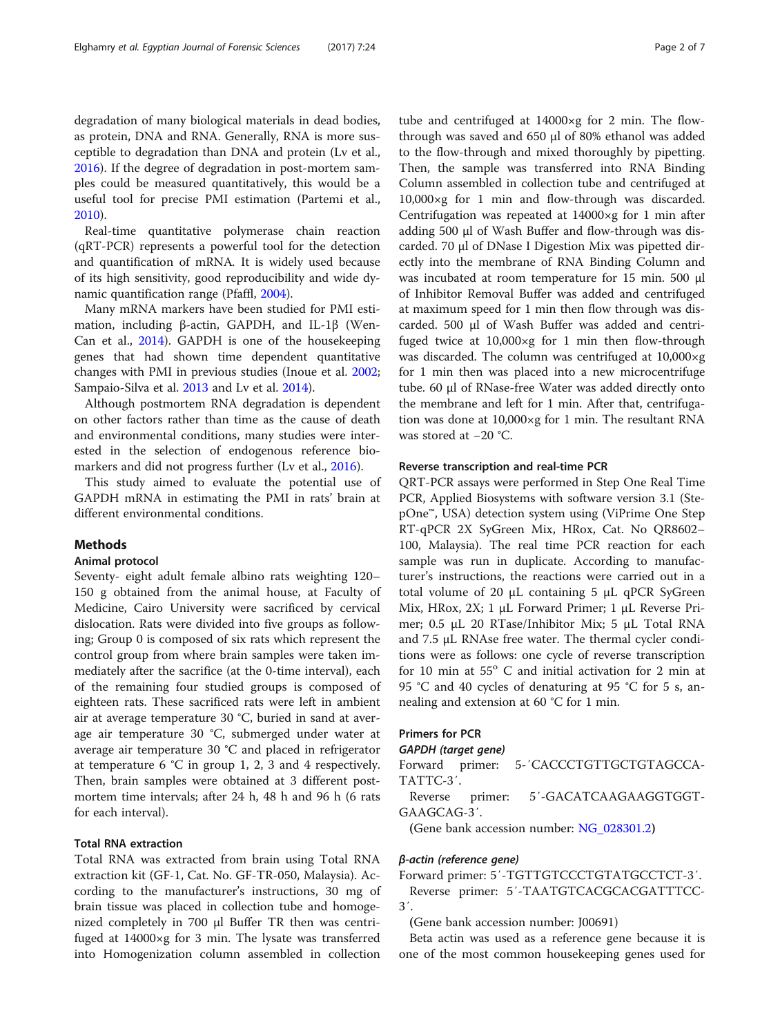degradation of many biological materials in dead bodies, as protein, DNA and RNA. Generally, RNA is more susceptible to degradation than DNA and protein (Lv et al., [2016](#page-6-0)). If the degree of degradation in post-mortem samples could be measured quantitatively, this would be a useful tool for precise PMI estimation (Partemi et al., [2010](#page-6-0)).

Real-time quantitative polymerase chain reaction (qRT-PCR) represents a powerful tool for the detection and quantification of mRNA. It is widely used because of its high sensitivity, good reproducibility and wide dynamic quantification range (Pfaffl, [2004\)](#page-6-0).

Many mRNA markers have been studied for PMI estimation, including β-actin, GAPDH, and IL-1β (Wen-Can et al., [2014](#page-6-0)). GAPDH is one of the housekeeping genes that had shown time dependent quantitative changes with PMI in previous studies (Inoue et al. [2002](#page-6-0); Sampaio-Silva et al. [2013](#page-6-0) and Lv et al. [2014](#page-6-0)).

Although postmortem RNA degradation is dependent on other factors rather than time as the cause of death and environmental conditions, many studies were interested in the selection of endogenous reference bio-markers and did not progress further (Lv et al., [2016](#page-6-0)).

This study aimed to evaluate the potential use of GAPDH mRNA in estimating the PMI in rats' brain at different environmental conditions.

### Methods

#### Animal protocol

Seventy- eight adult female albino rats weighting 120– 150 g obtained from the animal house, at Faculty of Medicine, Cairo University were sacrificed by cervical dislocation. Rats were divided into five groups as following; Group 0 is composed of six rats which represent the control group from where brain samples were taken immediately after the sacrifice (at the 0-time interval), each of the remaining four studied groups is composed of eighteen rats. These sacrificed rats were left in ambient air at average temperature 30 °C, buried in sand at average air temperature 30 °C, submerged under water at average air temperature 30 °C and placed in refrigerator at temperature 6 °C in group 1, 2, 3 and 4 respectively. Then, brain samples were obtained at 3 different postmortem time intervals; after 24 h, 48 h and 96 h (6 rats for each interval).

# Total RNA extraction

Total RNA was extracted from brain using Total RNA extraction kit (GF-1, Cat. No. GF-TR-050, Malaysia). According to the manufacturer's instructions, 30 mg of brain tissue was placed in collection tube and homogenized completely in 700 μl Buffer TR then was centrifuged at 14000×g for 3 min. The lysate was transferred into Homogenization column assembled in collection

tube and centrifuged at 14000×g for 2 min. The flowthrough was saved and 650 μl of 80% ethanol was added to the flow-through and mixed thoroughly by pipetting. Then, the sample was transferred into RNA Binding Column assembled in collection tube and centrifuged at 10,000×g for 1 min and flow-through was discarded. Centrifugation was repeated at 14000×g for 1 min after adding 500 μl of Wash Buffer and flow-through was discarded. 70 μl of DNase I Digestion Mix was pipetted directly into the membrane of RNA Binding Column and was incubated at room temperature for 15 min. 500 μl of Inhibitor Removal Buffer was added and centrifuged at maximum speed for 1 min then flow through was discarded. 500 μl of Wash Buffer was added and centrifuged twice at 10,000×g for 1 min then flow-through was discarded. The column was centrifuged at 10,000×g for 1 min then was placed into a new microcentrifuge tube. 60 μl of RNase-free Water was added directly onto the membrane and left for 1 min. After that, centrifugation was done at 10,000×g for 1 min. The resultant RNA was stored at −20 °C.

#### Reverse transcription and real-time PCR

QRT-PCR assays were performed in Step One Real Time PCR, Applied Biosystems with software version 3.1 (StepOne<sup>™</sup>, USA) detection system using (ViPrime One Step RT-qPCR 2X SyGreen Mix, HRox, Cat. No QR8602– 100, Malaysia). The real time PCR reaction for each sample was run in duplicate. According to manufacturer's instructions, the reactions were carried out in a total volume of 20 μL containing 5 μL qPCR SyGreen Mix, HRox, 2X; 1 μL Forward Primer; 1 μL Reverse Primer; 0.5 μL 20 RTase/Inhibitor Mix; 5 μL Total RNA and 7.5 μL RNAse free water. The thermal cycler conditions were as follows: one cycle of reverse transcription for 10 min at  $55^{\circ}$  C and initial activation for 2 min at 95 °C and 40 cycles of denaturing at 95 °C for 5 s, annealing and extension at 60 °C for 1 min.

## Primers for PCR

**GAPDH (target gene)**<br>Forward primer: 5-'CACCCTGTTGCTGTAGCCA-TATTC-3′.

Reverse primer: 5′-GACATCAAGAAGGTGGT-GAAGCAG-3′.

(Gene bank accession number: [NG\\_028301.2](http://www.ncbi.nlm.nih.gov/nucleotide/695917260?report=genbank&log=ucltop&blast_rank=1&RID=93ZWBT6G013))

#### <sup>β</sup>-actin (reference gene)

Forward primer: 5′-TGTTGTCCCTGTATGCCTCT-3′. Reverse primer: 5′-TAATGTCACGCACGATTTCC-3′.

(Gene bank accession number: J00691)

Beta actin was used as a reference gene because it is one of the most common housekeeping genes used for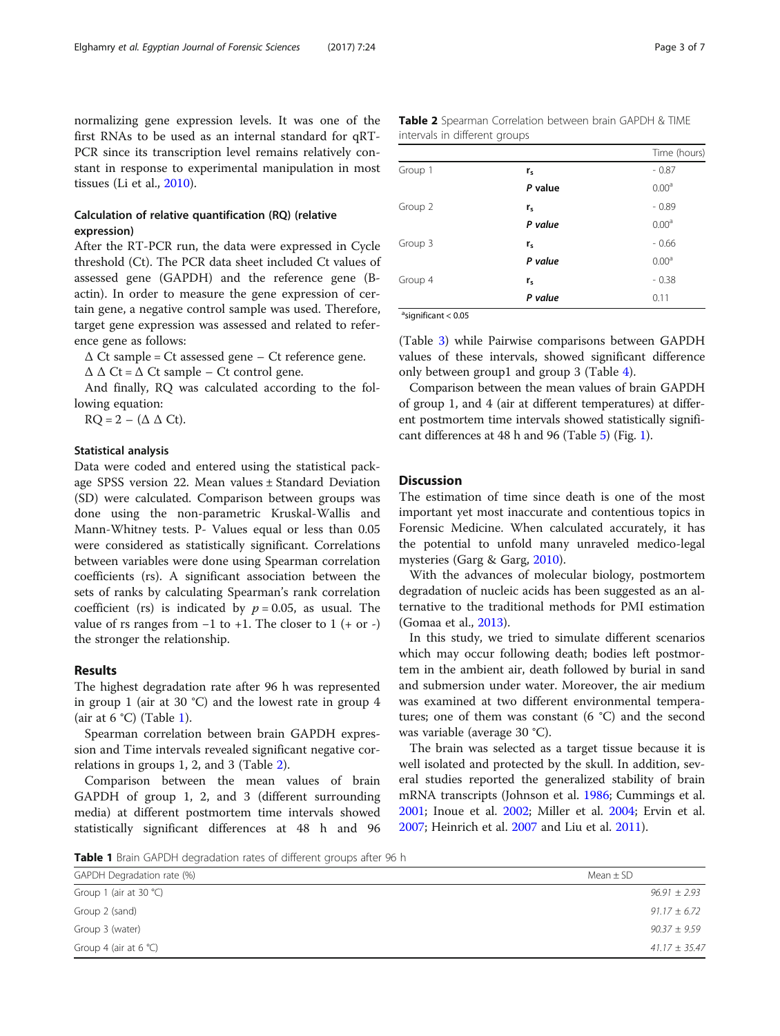normalizing gene expression levels. It was one of the first RNAs to be used as an internal standard for qRT-PCR since its transcription level remains relatively constant in response to experimental manipulation in most tissues (Li et al., [2010\)](#page-6-0).

# Calculation of relative quantification (RQ) (relative expression)

After the RT-PCR run, the data were expressed in Cycle threshold (Ct). The PCR data sheet included Ct values of assessed gene (GAPDH) and the reference gene (Bactin). In order to measure the gene expression of certain gene, a negative control sample was used. Therefore, target gene expression was assessed and related to reference gene as follows:

 $\Delta$  Ct sample = Ct assessed gene – Ct reference gene.

 $\Delta \Delta$  Ct =  $\Delta$  Ct sample – Ct control gene.

And finally, RQ was calculated according to the following equation:

 $RQ = 2 - (\Delta \Delta Ct)$ .

#### Statistical analysis

Data were coded and entered using the statistical package SPSS version 22. Mean values ± Standard Deviation (SD) were calculated. Comparison between groups was done using the non-parametric Kruskal-Wallis and Mann-Whitney tests. P- Values equal or less than 0.05 were considered as statistically significant. Correlations between variables were done using Spearman correlation coefficients (rs). A significant association between the sets of ranks by calculating Spearman's rank correlation coefficient (rs) is indicated by  $p = 0.05$ , as usual. The value of rs ranges from  $-1$  to  $+1$ . The closer to 1 (+ or -) the stronger the relationship.

#### Results

The highest degradation rate after 96 h was represented in group 1 (air at 30 °C) and the lowest rate in group 4 (air at  $6 \text{ }^{\circ}C$ ) (Table 1).

Spearman correlation between brain GAPDH expression and Time intervals revealed significant negative correlations in groups 1, 2, and 3 (Table 2).

Comparison between the mean values of brain GAPDH of group 1, 2, and 3 (different surrounding media) at different postmortem time intervals showed statistically significant differences at 48 h and 96

|                               | Table 2 Spearman Correlation between brain GAPDH & TIME |  |  |  |
|-------------------------------|---------------------------------------------------------|--|--|--|
| intervals in different groups |                                                         |  |  |  |

|         |         | Time (hours)      |
|---------|---------|-------------------|
| Group 1 | $r_{s}$ | $-0.87$           |
|         | P value | 0.00 <sup>a</sup> |
| Group 2 | $r_{s}$ | $-0.89$           |
|         | P value | 0.00 <sup>a</sup> |
| Group 3 | $r_{s}$ | $-0.66$           |
|         | P value | 0.00 <sup>a</sup> |
| Group 4 | $r_{s}$ | $-0.38$           |
|         | P value | 0.11              |
|         |         |                   |

<sup>a</sup>significant < 0.05

(Table [3\)](#page-3-0) while Pairwise comparisons between GAPDH values of these intervals, showed significant difference only between group1 and group 3 (Table [4\)](#page-4-0).

Comparison between the mean values of brain GAPDH of group 1, and 4 (air at different temperatures) at different postmortem time intervals showed statistically significant differences at 48 h and 96 (Table [5](#page-4-0)) (Fig. [1](#page-5-0)).

# **Discussion**

The estimation of time since death is one of the most important yet most inaccurate and contentious topics in Forensic Medicine. When calculated accurately, it has the potential to unfold many unraveled medico-legal mysteries (Garg & Garg, [2010](#page-6-0)).

With the advances of molecular biology, postmortem degradation of nucleic acids has been suggested as an alternative to the traditional methods for PMI estimation (Gomaa et al., [2013](#page-6-0)).

In this study, we tried to simulate different scenarios which may occur following death; bodies left postmortem in the ambient air, death followed by burial in sand and submersion under water. Moreover, the air medium was examined at two different environmental temperatures; one of them was constant (6 °C) and the second was variable (average 30 °C).

The brain was selected as a target tissue because it is well isolated and protected by the skull. In addition, several studies reported the generalized stability of brain mRNA transcripts (Johnson et al. [1986](#page-6-0); Cummings et al. [2001](#page-6-0); Inoue et al. [2002;](#page-6-0) Miller et al. [2004;](#page-6-0) Ervin et al. [2007](#page-6-0); Heinrich et al. [2007](#page-6-0) and Liu et al. [2011\)](#page-6-0).

Table 1 Brain GAPDH degradation rates of different groups after 96 h

| GAPDH Degradation rate (%)      | Mean $\pm$ SD     |
|---------------------------------|-------------------|
| Group 1 (air at 30 $°C$ )       | $96.91 \pm 2.93$  |
| Group 2 (sand)                  | $91.17 \pm 6.72$  |
| Group 3 (water)                 | $90.37 \pm 9.59$  |
| Group 4 (air at 6 $^{\circ}$ C) | $41.17 \pm 35.47$ |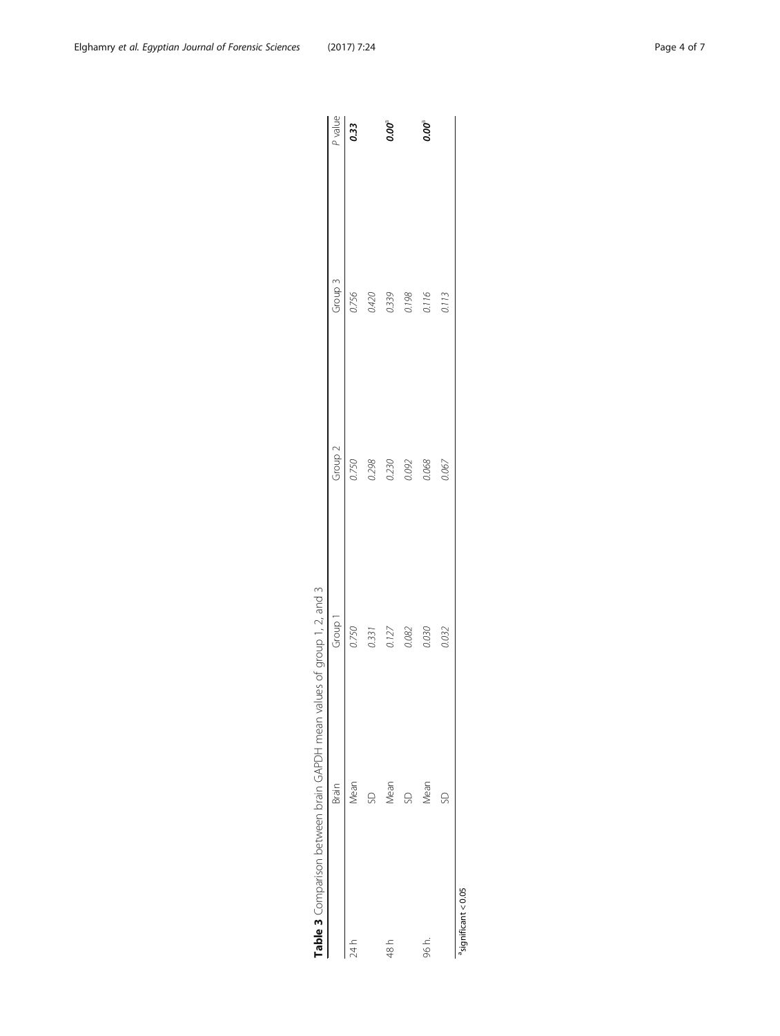<span id="page-3-0"></span>

| Table 3 Comparison between brain GAPDH mean valu |       | ues of group 1, 2, and 3 |                    |                    |                  |
|--------------------------------------------------|-------|--------------------------|--------------------|--------------------|------------------|
|                                                  | Brain | Group 1                  | Group <sub>2</sub> | Group <sub>3</sub> | P value          |
| 24 h                                             | Mean  | 0.750                    | 0.750              | 0.756              | $\frac{1}{0.33}$ |
|                                                  | S     | 0.331                    | 0.298              | 0.420              |                  |
| 48 h                                             | Mean  | 0.127                    |                    |                    | 0.00°            |
|                                                  | SD    | 0.082                    | 0.230<br>0.092     | 0.339<br>0.198     |                  |
| 96 h.                                            | Mean  | 0.030                    | 0.068              | 0.116              | $500^{\circ}$    |
|                                                  | SD    | 0.032                    | 0.067              | 0.113              |                  |
| <sup>a</sup> significant < 0.05                  |       |                          |                    |                    |                  |

| ١                        | $\mathbf{r}$     |
|--------------------------|------------------|
|                          |                  |
| てく                       |                  |
|                          |                  |
|                          |                  |
| $\epsilon$               | i<br>.           |
|                          |                  |
|                          |                  |
|                          | $\frac{2}{2}$    |
|                          | I                |
|                          |                  |
|                          | ١                |
|                          |                  |
|                          |                  |
|                          |                  |
|                          | )<br>)<br>)<br>: |
|                          |                  |
|                          | $\overline{ }$   |
|                          |                  |
| את היה והוהר הד היה וה   |                  |
|                          |                  |
|                          |                  |
|                          |                  |
|                          |                  |
|                          | $\frac{1}{2}$    |
|                          |                  |
|                          |                  |
|                          |                  |
|                          |                  |
| - 1<br>- 1<br>- 1<br>- 1 |                  |
|                          |                  |
|                          |                  |
|                          |                  |
|                          |                  |
|                          |                  |
|                          |                  |
|                          |                  |
|                          |                  |
|                          |                  |
|                          |                  |
|                          |                  |
| ran hatiliana nin        | )<br>2<br>2      |
|                          |                  |
|                          |                  |
|                          |                  |
| יים הם וה                |                  |
|                          |                  |
|                          |                  |
|                          |                  |
|                          |                  |
| I                        |                  |
| I                        |                  |
|                          | ו<br>נ           |
|                          |                  |
|                          |                  |
| ı                        |                  |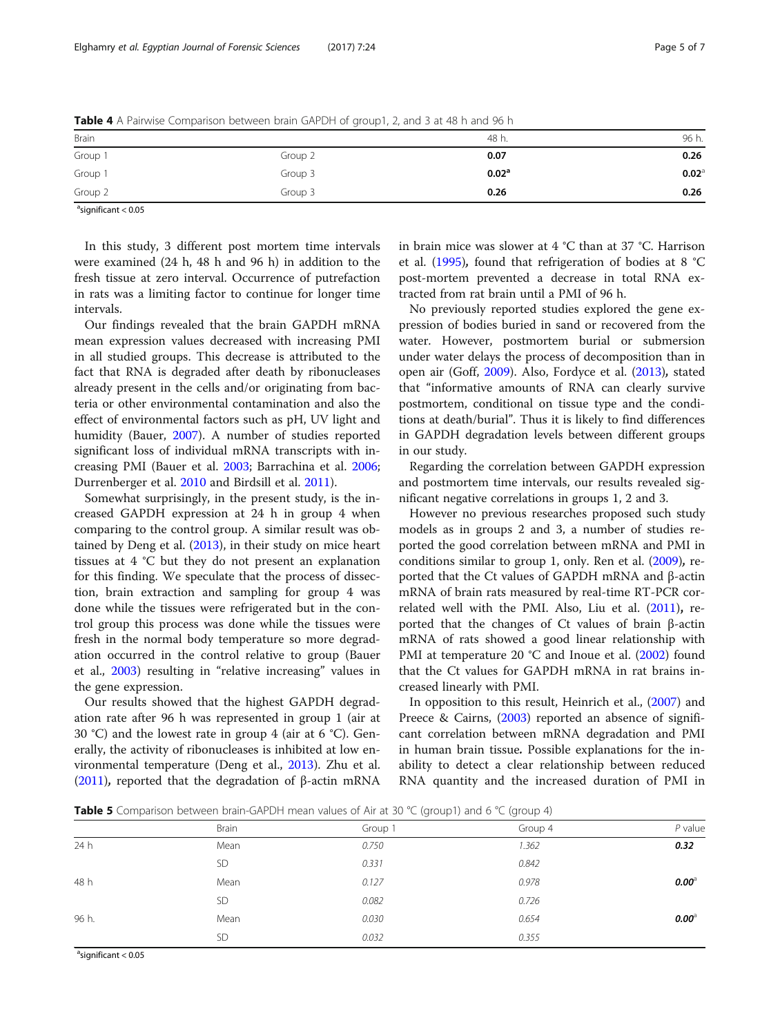| Brain   |         | 48 h.             | 96 h. |
|---------|---------|-------------------|-------|
| Group 1 | Group 2 | 0.07              | 0.26  |
| Group 1 | Group 3 | 0.02 <sup>a</sup> | 0.02  |
| Group 2 | Group 3 | 0.26              | 0.26  |

<span id="page-4-0"></span>Table 4 A Pairwise Comparison between brain GAPDH of group1, 2, and 3 at 48 h and 96 h

<sup>a</sup>significant < 0.05

In this study, 3 different post mortem time intervals were examined (24 h, 48 h and 96 h) in addition to the fresh tissue at zero interval. Occurrence of putrefaction in rats was a limiting factor to continue for longer time intervals.

Our findings revealed that the brain GAPDH mRNA mean expression values decreased with increasing PMI in all studied groups. This decrease is attributed to the fact that RNA is degraded after death by ribonucleases already present in the cells and/or originating from bacteria or other environmental contamination and also the effect of environmental factors such as pH, UV light and humidity (Bauer, [2007](#page-6-0)). A number of studies reported significant loss of individual mRNA transcripts with increasing PMI (Bauer et al. [2003](#page-6-0); Barrachina et al. [2006](#page-6-0); Durrenberger et al. [2010](#page-6-0) and Birdsill et al. [2011](#page-6-0)).

Somewhat surprisingly, in the present study, is the increased GAPDH expression at 24 h in group 4 when comparing to the control group. A similar result was obtained by Deng et al. ([2013](#page-6-0)), in their study on mice heart tissues at 4 °C but they do not present an explanation for this finding. We speculate that the process of dissection, brain extraction and sampling for group 4 was done while the tissues were refrigerated but in the control group this process was done while the tissues were fresh in the normal body temperature so more degradation occurred in the control relative to group (Bauer et al., [2003\)](#page-6-0) resulting in "relative increasing" values in the gene expression.

Our results showed that the highest GAPDH degradation rate after 96 h was represented in group 1 (air at 30 °C) and the lowest rate in group 4 (air at 6 °C). Generally, the activity of ribonucleases is inhibited at low environmental temperature (Deng et al., [2013\)](#page-6-0). Zhu et al. ([2011](#page-6-0)), reported that the degradation of β-actin mRNA in brain mice was slower at 4 °C than at 37 °C. Harrison et al. ([1995\)](#page-6-0), found that refrigeration of bodies at 8 °C post-mortem prevented a decrease in total RNA extracted from rat brain until a PMI of 96 h.

No previously reported studies explored the gene expression of bodies buried in sand or recovered from the water. However, postmortem burial or submersion under water delays the process of decomposition than in open air (Goff, [2009](#page-6-0)). Also, Fordyce et al. ([2013](#page-6-0)), stated that "informative amounts of RNA can clearly survive postmortem, conditional on tissue type and the conditions at death/burial". Thus it is likely to find differences in GAPDH degradation levels between different groups in our study.

Regarding the correlation between GAPDH expression and postmortem time intervals, our results revealed significant negative correlations in groups 1, 2 and 3.

However no previous researches proposed such study models as in groups 2 and 3, a number of studies reported the good correlation between mRNA and PMI in conditions similar to group 1, only. Ren et al. ([2009](#page-6-0)), reported that the Ct values of GAPDH mRNA and β-actin mRNA of brain rats measured by real-time RT-PCR correlated well with the PMI. Also, Liu et al. ([2011](#page-6-0)), reported that the changes of Ct values of brain β-actin mRNA of rats showed a good linear relationship with PMI at temperature 20 °C and Inoue et al. [\(2002](#page-6-0)) found that the Ct values for GAPDH mRNA in rat brains increased linearly with PMI.

In opposition to this result, Heinrich et al., [\(2007](#page-6-0)) and Preece & Cairns, ([2003](#page-6-0)) reported an absence of significant correlation between mRNA degradation and PMI in human brain tissue. Possible explanations for the inability to detect a clear relationship between reduced RNA quantity and the increased duration of PMI in

**Table 5** Comparison between brain-GAPDH mean values of Air at 30 °C (group1) and 6 °C (group 4)

|       |           | $\sim$  |         |                |
|-------|-----------|---------|---------|----------------|
|       | Brain     | Group 1 | Group 4 | $P$ value      |
| 24 h  | Mean      | 0.750   | 1.362   | 0.32           |
|       | <b>SD</b> | 0.331   | 0.842   |                |
| 48 h  | Mean      | 0.127   | 0.978   | $0.00^{\circ}$ |
|       | <b>SD</b> | 0.082   | 0.726   |                |
| 96 h. | Mean      | 0.030   | 0.654   | $0.00^{\circ}$ |
|       | <b>SD</b> | 0.032   | 0.355   |                |
|       |           |         |         |                |

<sup>a</sup>significant < 0.05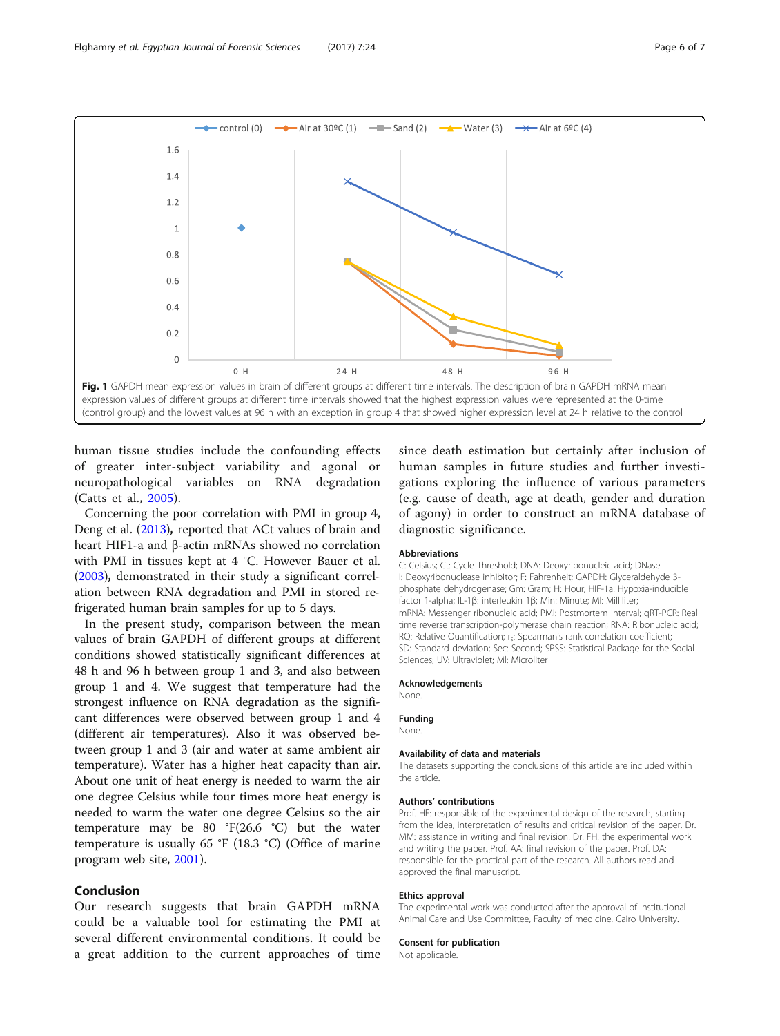<span id="page-5-0"></span>

human tissue studies include the confounding effects of greater inter-subject variability and agonal or neuropathological variables on RNA degradation (Catts et al., [2005\)](#page-6-0).

Concerning the poor correlation with PMI in group 4, Deng et al. [\(2013](#page-6-0)), reported that  $\Delta$ Ct values of brain and heart HIF1-a and β-actin mRNAs showed no correlation with PMI in tissues kept at 4 °C. However Bauer et al. ([2003](#page-6-0)), demonstrated in their study a significant correlation between RNA degradation and PMI in stored refrigerated human brain samples for up to 5 days.

In the present study, comparison between the mean values of brain GAPDH of different groups at different conditions showed statistically significant differences at 48 h and 96 h between group 1 and 3, and also between group 1 and 4. We suggest that temperature had the strongest influence on RNA degradation as the significant differences were observed between group 1 and 4 (different air temperatures). Also it was observed between group 1 and 3 (air and water at same ambient air temperature). Water has a higher heat capacity than air. About one unit of heat energy is needed to warm the air one degree Celsius while four times more heat energy is needed to warm the water one degree Celsius so the air temperature may be 80 °F(26.6 °C) but the water temperature is usually 65 °F (18.3 °C) (Office of marine program web site, [2001\)](#page-6-0).

# Conclusion

Our research suggests that brain GAPDH mRNA could be a valuable tool for estimating the PMI at several different environmental conditions. It could be a great addition to the current approaches of time

since death estimation but certainly after inclusion of human samples in future studies and further investigations exploring the influence of various parameters (e.g. cause of death, age at death, gender and duration of agony) in order to construct an mRNA database of diagnostic significance.

#### Abbreviations

C: Celsius; Ct: Cycle Threshold; DNA: Deoxyribonucleic acid; DNase I: Deoxyribonuclease inhibitor; F: Fahrenheit; GAPDH: Glyceraldehyde 3 phosphate dehydrogenase; Gm: Gram; H: Hour; HIF-1a: Hypoxia-inducible factor 1-alpha; IL-1β: interleukin 1β; Min: Minute; Ml: Milliliter; mRNA: Messenger ribonucleic acid; PMI: Postmortem interval; qRT-PCR: Real time reverse transcription-polymerase chain reaction; RNA: Ribonucleic acid; RQ: Relative Quantification; r.: Spearman's rank correlation coefficient; SD: Standard deviation; Sec: Second; SPSS: Statistical Package for the Social Sciences; UV: Ultraviolet; Μl: Microliter

#### Acknowledgements

None.

#### Funding

#### None.

#### Availability of data and materials

The datasets supporting the conclusions of this article are included within the article.

#### Authors' contributions

Prof. HE: responsible of the experimental design of the research, starting from the idea, interpretation of results and critical revision of the paper. Dr. MM: assistance in writing and final revision. Dr. FH: the experimental work and writing the paper. Prof. AA: final revision of the paper. Prof. DA: responsible for the practical part of the research. All authors read and approved the final manuscript.

#### Ethics approval

The experimental work was conducted after the approval of Institutional Animal Care and Use Committee, Faculty of medicine, Cairo University.

#### Consent for publication

Not applicable.